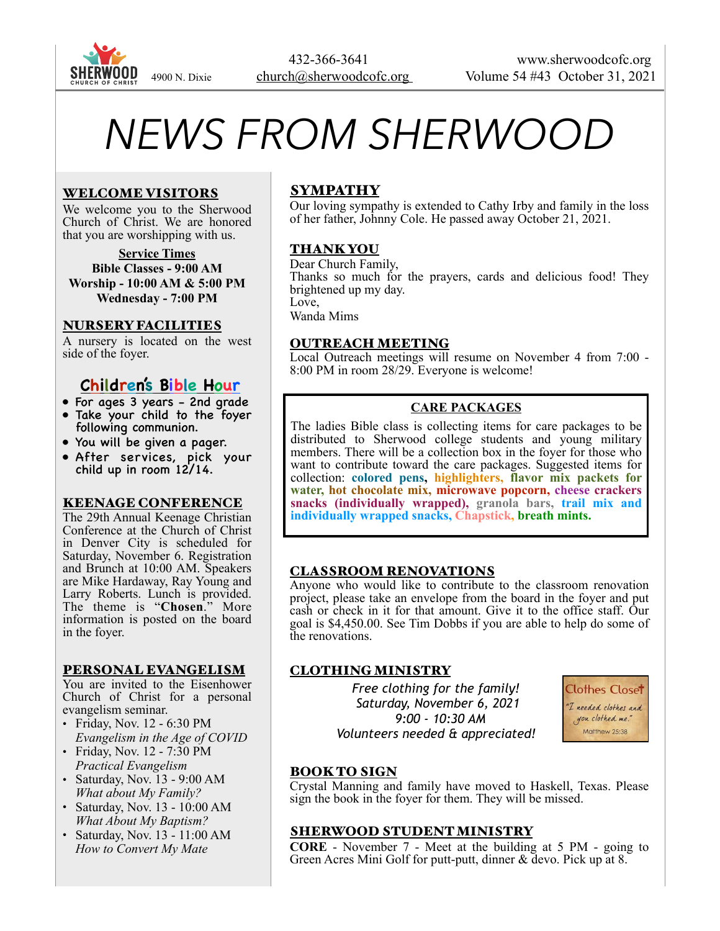

# *NEWS FROM SHERWOOD*

## WELCOME VISITORS

We welcome you to the Sherwood Church of Christ. We are honored that you are worshipping with us.

**Service Times Bible Classes - 9:00 AM Worship - 10:00 AM & 5:00 PM Wednesday - 7:00 PM** 

#### NURSERY FACILITIES

A nursery is located on the west side of the foyer.

# **Children's Bible Hour**

- For ages 3 years 2nd grade
- Take your child to the foyer following communion.
- You will be given a pager.
- After services, pick your child up in room 12/14.

#### KEENAGE CONFERENCE

The 29th Annual Keenage Christian Conference at the Church of Christ in Denver City is scheduled for Saturday, November 6. Registration and Brunch at 10:00 AM. Speakers are Mike Hardaway, Ray Young and Larry Roberts. Lunch is provided. The theme is "**Chosen**." More information is posted on the board in the foyer.

#### PERSONAL EVANGELISM

You are invited to the Eisenhower Church of Christ for a personal evangelism seminar.

- Friday, Nov. 12 6:30 PM *Evangelism in the Age of COVID*
- Friday, Nov. 12 7:30 PM *Practical Evangelism*
- Saturday, Nov. 13 9:00 AM *What about My Family?*
- Saturday, Nov. 13 10:00 AM *What About My Baptism?*
- Saturday, Nov. 13 11:00 AM *How to Convert My Mate*

# SYMPATHY

Our loving sympathy is extended to Cathy Irby and family in the loss of her father, Johnny Cole. He passed away October 21, 2021.

## THANK YOU

Dear Church Family, Thanks so much for the prayers, cards and delicious food! They brightened up my day. Love, Wanda Mims

#### OUTREACH MEETING

Local Outreach meetings will resume on November 4 from 7:00 - 8:00 PM in room 28/29. Everyone is welcome!

# **CARE PACKAGES**

The ladies Bible class is collecting items for care packages to be distributed to Sherwood college students and young military members. There will be a collection box in the foyer for those who want to contribute toward the care packages. Suggested items for collection: **colored pens, highlighters, flavor mix packets for water, hot chocolate mix, microwave popcorn, cheese crackers snacks (individually wrapped), granola bars, trail mix and individually wrapped snacks, Chapstick, breath mints.**

#### CLASSROOM RENOVATIONS

Anyone who would like to contribute to the classroom renovation project, please take an envelope from the board in the foyer and put cash or check in it for that amount. Give it to the office staff. Our goal is \$4,450.00. See Tim Dobbs if you are able to help do some of the renovations.

#### CLOTHING MINISTRY

 *Free clothing for the family! Saturday, November 6, 2021 9:00 - 10:30 AM Volunteers needed & appreciated!* 



# BOOK TO SIGN

Crystal Manning and family have moved to Haskell, Texas. Please sign the book in the foyer for them. They will be missed.

#### SHERWOOD STUDENT MINISTRY

**CORE** - November 7 - Meet at the building at 5 PM - going to Green Acres Mini Golf for putt-putt, dinner & devo. Pick up at 8.